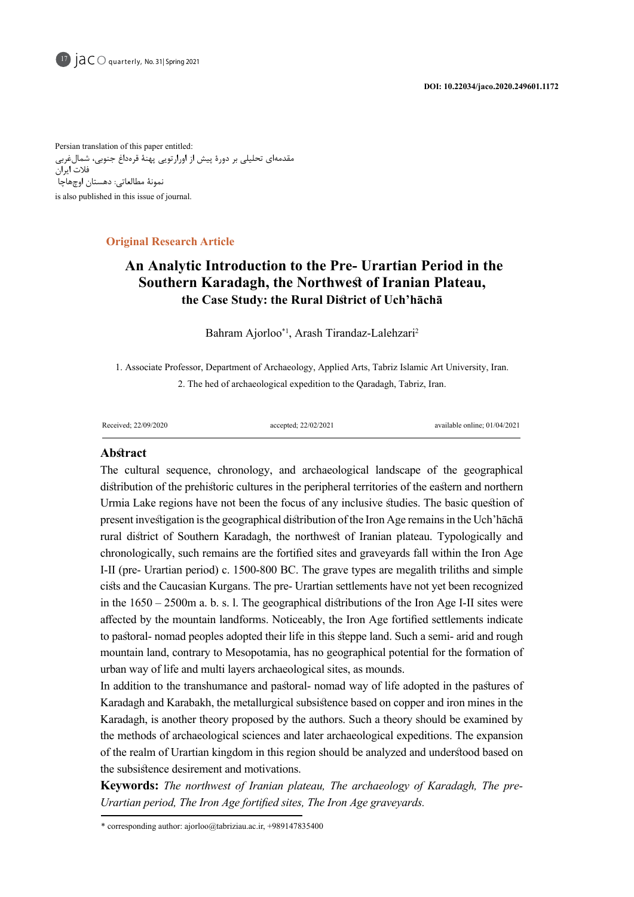

17  $\overline{A} \overline{C}$  quarterly, No. 31| Spring 2021

Persian translation of this paper entitled: مقدمهای تحلیلی بر دورۀ پیش از اورارتویی پهنۀ قرهداغ جنوبی، شمالغربی فالت ایران نمونۀ مطالعاتی: دهستان اوچهاچا is also published in this issue of journal.

# **Article Research Article**

# An Analytic Introduction to the Pre- Urartian Period in the **Southern Karadagh, the Northwest of Iranian Plateau,** the Case Study: the Rural District of Uch'hacha

Bahram Ajorloo\*<sup>1</sup>, Arash Tirandaz-Lalehzari<sup>2</sup>

1. Associate Professor, Department of Archaeology, Applied Arts, Tabriz Islamic Art University, Iran. 2. The hed of archaeological expedition to the Oaradagh, Tabriz, Iran.

01/04/2021 ;online available 22/02/2021; accepted 22/09/2020; Received

# **Abstract**

The cultural sequence, chronology, and archaeological landscape of the geographical distribution of the prehistoric cultures in the peripheral territories of the eastern and northern Urmia Lake regions have not been the focus of any inclusive studies. The basic question of present investigation is the geographical distribution of the Iron Age remains in the Uch'hacha rural district of Southern Karadagh, the northwest of Iranian plateau. Typologically and chronologically, such remains are the fortified sites and graveyards fall within the Iron Age I-II (pre- Urartian period) c.  $1500-800$  BC. The grave types are megalith triliths and simple cists and the Caucasian Kurgans. The pre- Urartian settlements have not yet been recognized in the  $1650 - 2500$ m a. b. s. l. The geographical distributions of the Iron Age I-II sites were affected by the mountain landforms. Noticeably, the Iron Age fortified settlements indicate to pastoral- nomad peoples adopted their life in this steppe land. Such a semi- arid and rough mountain land, contrary to Mesopotamia, has no geographical potential for the formation of urban way of life and multi layers archaeological sites, as mounds.

In addition to the transhumance and pastoral - nomad way of life adopted in the pastures of Karadagh and Karabakh, the metallurgical subsistence based on copper and iron mines in the Karadagh, is another theory proposed by the authors. Such a theory should be examined by the methods of archaeological sciences and later archaeological expeditions. The expansion of the realm of Urartian kingdom in this region should be analyzed and understood based on the subsistence desirement and motivations.

**Keywords:** The northwest of Iranian plateau, The archaeology of Karadagh, The pre-<br>Urartian period, The Iron Age fortified sites, The Iron Age graveyards.

 $*$  corresponding author: ajorloo@tabriziau.ac.ir, +989147835400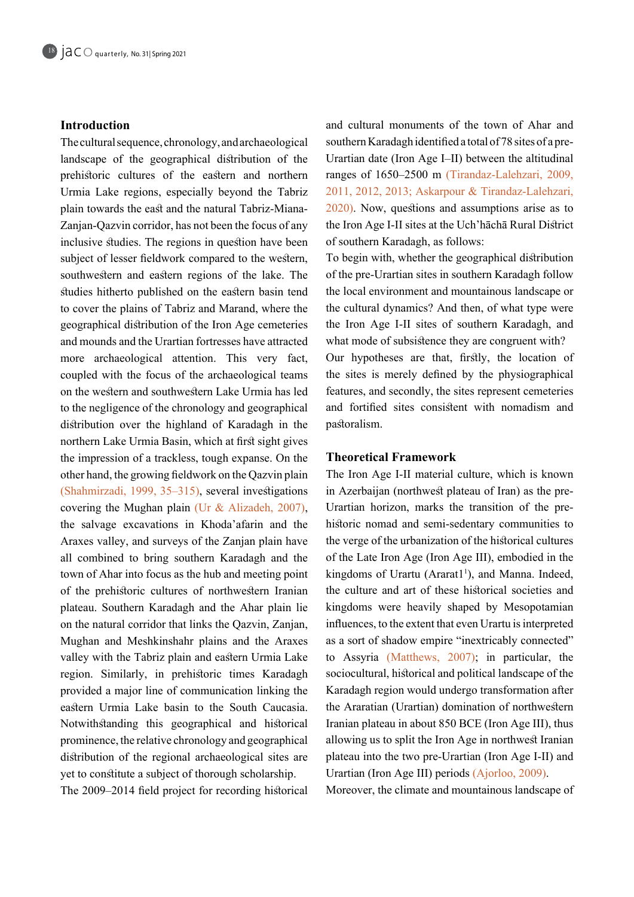# **Introduction**

The cultural sequence, chronology, and archaeological landscape of the geographical distribution of the prehistoric cultures of the eastern and northern Urmia Lake regions, especially beyond the Tabriz Zanjan-Qazvin corridor, has not been the focus of any plain towards the east and the natural Tabriz-Mianainclusive studies. The regions in question have been subject of lesser fieldwork compared to the western, southwestern and eastern regions of the lake. The studies hitherto published on the eastern basin tend to cover the plains of Tabriz and Marand, where the geographical distribution of the Iron Age cemeteries and mounds and the Urartian fortresses have attracted more archaeological attention. This very fact, coupled with the focus of the archaeological teams on the western and southwestern Lake Urmia has led to the negligence of the chronology and geographical distribution over the highland of Karadagh in the northern Lake Urmia Basin, which at first sight gives the impression of a trackless, tough expanse. On the other hand, the growing fieldwork on the Qazvin plain  $(Shahmirzadi, 1999, 35–315)$ , several investigations covering the Mughan plain (Ur & Alizadeh, 2007), the salvage excavations in Khoda'afarin and the Araxes valley, and surveys of the Zanjan plain have all combined to bring southern Karadagh and the town of Ahar into focus as the hub and meeting point of the prehistoric cultures of northwestern Iranian plateau. Southern Karadagh and the Ahar plain lie on the natural corridor that links the Qazvin, Zanjan, Mughan and Meshkinshahr plains and the Araxes valley with the Tabriz plain and eastern Urmia Lake region. Similarly, in prehistoric times Karadagh provided a major line of communication linking the eastern Urmia Lake basin to the South Caucasia. Notwithstanding this geographical and historical prominence, the relative chronology and geographical distribution of the regional archaeological sites are yet to constitute a subject of thorough scholarship.

The 2009–2014 field project for recording historical

and cultural monuments of the town of Ahar and Urartian date (Iron Age I-II) between the altitudinal southern Karadagh identified a total of 78 sites of a preranges of 1650–2500 m (Tirandaz-Lalehzari, 2009, 2011, 2012, 2013; Askarpour & Tirandaz-Lalehzari,  $2020$ ). Now, questions and assumptions arise as to the Iron Age I-II sites at the Uch'hāchā Rural District of southern Karadagh, as follows:

To begin with, whether the geographical distribution of the pre-Urartian sites in southern Karadagh follow the local environment and mountainous landscape or the cultural dynamics? And then, of what type were the Iron Age I-II sites of southern Karadagh, and what mode of subsistence they are congruent with? Our hypotheses are that, firstly, the location of the sites is merely defined by the physiographical features, and secondly, the sites represent cemeteries and fortified sites consistent with nomadism and .pastoralism

# **Framework Theoretical**

The Iron Age I-II material culture, which is known historic nomad and semi-sedentary communities to Urartian horizon, marks the transition of the prein Azerbaijan (northwest plateau of Iran) as the prethe verge of the urbanization of the historical cultures of the Late Iron Age (Iron Age III), embodied in the kingdoms of Urartu (Ararat1<sup>1</sup>), and Manna. Indeed, the culture and art of these historical societies and kingdoms were heavily shaped by Mesopotamian influences, to the extent that even Urartu is interpreted as a sort of shadow empire "inextricably connected" to Assyria (Matthews,  $2007$ ); in particular, the sociocultural, historical and political landscape of the Karadagh region would undergo transformation after the Araratian (Urartian) domination of northwestern Iranian plateau in about 850 BCE (Iron Age III), thus allowing us to split the Iron Age in northwest Iranian plateau into the two pre-Urartian (Iron Age I-II) and Urartian (Iron Age III) periods  $(Ajorloo, 2009)$ .

Moreover, the climate and mountainous landscape of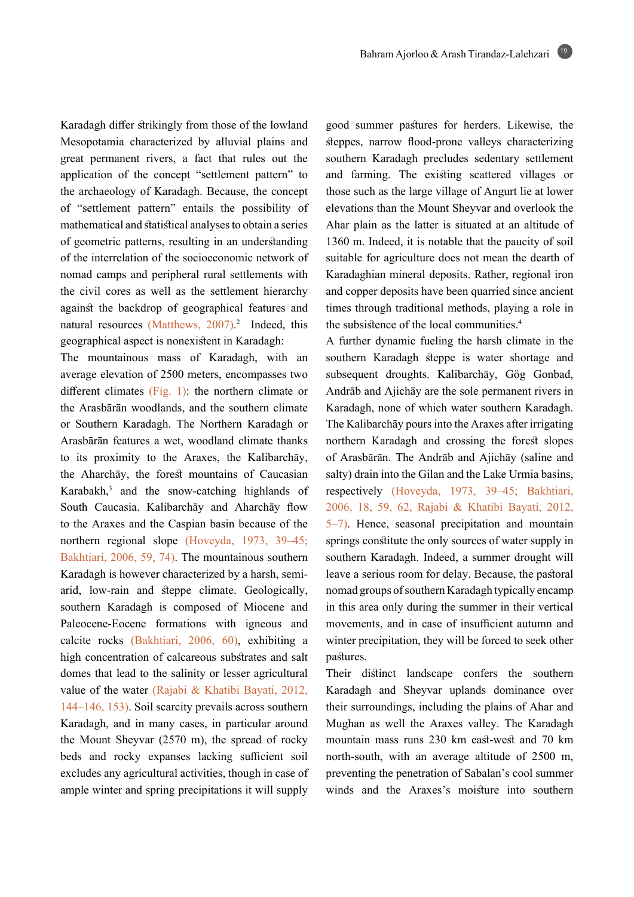Karadagh differ strikingly from those of the lowland Mesopotamia characterized by alluvial plains and great permanent rivers, a fact that rules out the application of the concept "settlement pattern" to the archaeology of Karadagh. Because, the concept of "settlement pattern" entails the possibility of mathematical and statistical analyses to obtain a series of geometric patterns, resulting in an understanding of the interrelation of the socioeconomic network of nomad camps and peripheral rural settlements with the civil cores as well as the settlement hierarchy against the backdrop of geographical features and natural resources (Matthews, 2007).<sup>2</sup> Indeed, this geographical aspect is nonexistent in Karadagh:

The mountainous mass of Karadagh, with an average elevation of 2500 meters, encompasses two different climates  $(Fig, 1)$ : the northern climate or the Arasbārān woodlands, and the southern climate or Southern Karadagh. The Northern Karadagh or Arasbārān features a wet, woodland climate thanks to its proximity to the Araxes, the Kalibarchay, the Aharchay, the forest mountains of Caucasian Karabakh, $3$  and the snow-catching highlands of South Caucasia. Kalibarchāy and Aharchāy flow to the Araxes and the Caspian basin because of the northern regional slope (Hoveyda, 1973, 39-45; Bakhtiari, 2006, 59, 74). The mountainous southern arid, low-rain and steppe climate. Geologically, Karadagh is however characterized by a harsh, semisouthern Karadagh is composed of Miocene and Paleocene-Eocene formations with igneous and calcite rocks (Bakhtiari, 2006, 60), exhibiting a high concentration of calcareous substrates and salt domes that lead to the salinity or lesser agricultural value of the water (Rajabi & Khatibi Bayati, 2012,  $144-146$ , 153). Soil scarcity prevails across southern Karadagh, and in many cases, in particular around the Mount Sheyvar  $(2570 \text{ m})$ , the spread of rocky beds and rocky expanses lacking sufficient soil excludes any agricultural activities, though in case of ample winter and spring precipitations it will supply good summer pastures for herders. Likewise, the steppes, narrow flood-prone valleys characterizing southern Karadagh precludes sedentary settlement and farming. The existing scattered villages or those such as the large village of Angurt lie at lower elevations than the Mount Sheyvar and overlook the Ahar plain as the latter is situated at an altitude of  $1360$  m. Indeed, it is notable that the paucity of soil suitable for agriculture does not mean the dearth of Karadaghian mineral deposits. Rather, regional iron and copper deposits have been quarried since ancient times through traditional methods, playing a role in the subsistence of the local communities.<sup>4</sup>

A further dynamic fueling the harsh climate in the southern Karadagh steppe is water shortage and subsequent droughts. Kalibarchāy, Gög Gonbad, Andrāb and Ajichāy are the sole permanent rivers in Karadagh, none of which water southern Karadagh. The Kalibarchāy pours into the Araxes after irrigating northern Karadagh and crossing the forest slopes of Arasbārān. The Andrāb and Ajichāy (saline and salty) drain into the Gilan and the Lake Urmia basins, respectively (Hoveyda, 1973, 39–45; Bakhtiari, 2006, 18, 59, 62, Rajabi & Khatibi Bayati, 2012,  $5-7$ ). Hence, seasonal precipitation and mountain springs constitute the only sources of water supply in southern Karadagh. Indeed, a summer drought will leave a serious room for delay. Because, the pastoral nomad groups of southern Karadagh typically encamp in this area only during the summer in their vertical movements, and in case of insufficient autumn and winter precipitation, they will be forced to seek other .pastures

Their distinct landscape confers the southern Karadagh and Sheyvar uplands dominance over their surroundings, including the plains of Ahar and Mughan as well the Araxes valley. The Karadagh mountain mass runs 230 km east-west and 70 km north-south, with an average altitude of  $2500$  m, preventing the penetration of Sabalan's cool summer winds and the Araxes's moisture into southern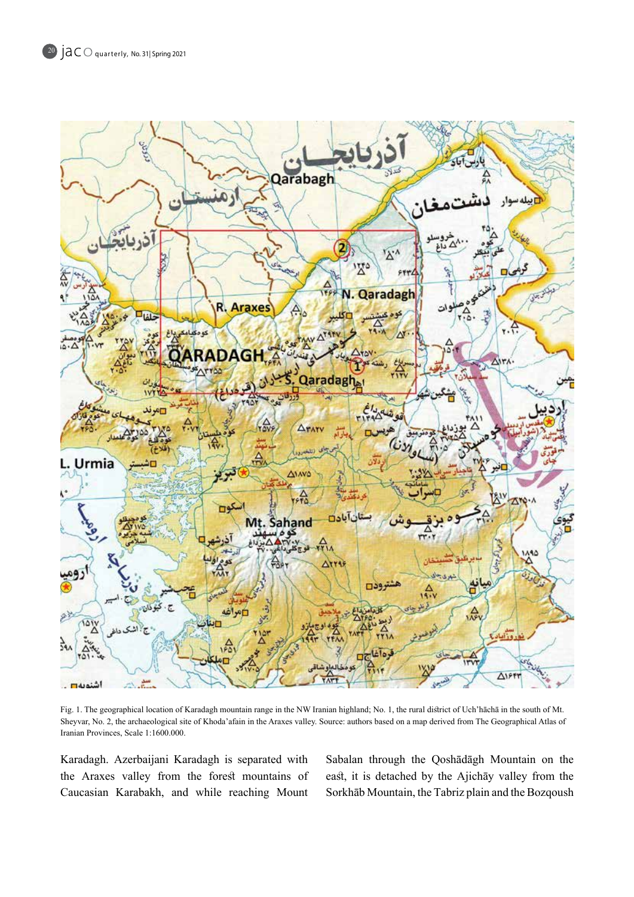

Fig. 1. The geographical location of Karadagh mountain range in the NW Iranian highland; No. 1, the rural district of Uch'hacha in the south of Mt. Sheyvar, No. 2, the archaeological site of Khoda'afain in the Araxes valley. Source: authors based on a map derived from The Geographical Atlas of Iranian Provinces, Scale 1:1600.000.

Karadagh. Azerbaijani Karadagh is separated with the Araxes valley from the forest mountains of Caucasian Karabakh, and while reaching Mount Sabalan through the Qoshadagh Mountain on the east, it is detached by the Ajichay valley from the Sorkhāb Mountain, the Tabriz plain and the Bozqoush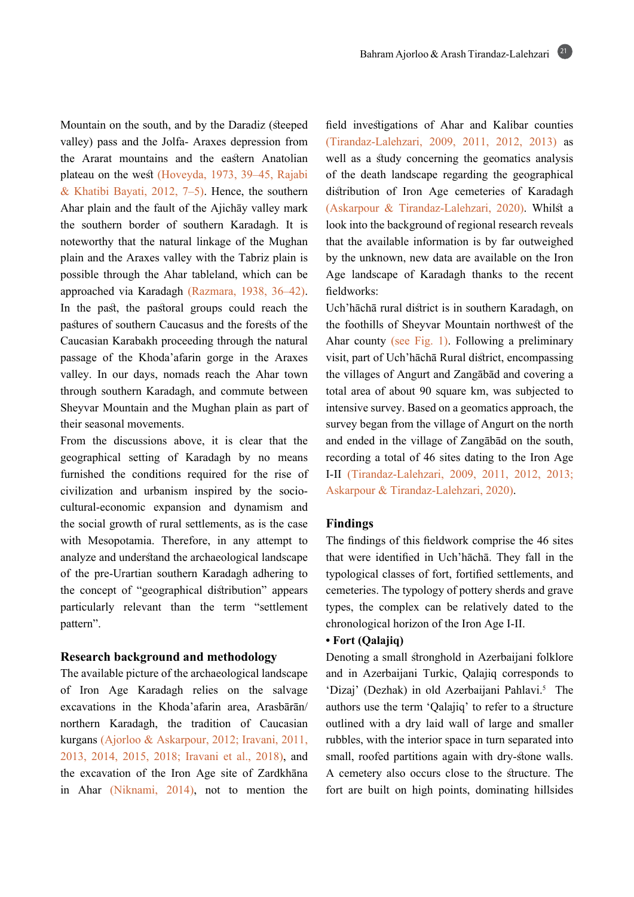Mountain on the south, and by the Daradiz (steeped valley) pass and the Jolfa-Araxes depression from the Ararat mountains and the eastern Anatolian plateau on the west (Hoveyda, 1973, 39–45, Rajabi & Khatibi Bayati, 2012, 7-5). Hence, the southern Ahar plain and the fault of the Ajichay valley mark the southern border of southern Karadagh. It is noteworthy that the natural linkage of the Mughan plain and the Araxes valley with the Tabriz plain is possible through the Ahar tableland, which can be approached via Karadagh (Razmara, 1938, 36-42). In the past, the pastoral groups could reach the pastures of southern Caucasus and the forests of the Caucasian Karabakh proceeding through the natural passage of the Khoda'afarin gorge in the Araxes valley. In our days, nomads reach the Ahar town through southern Karadagh, and commute between Sheyvar Mountain and the Mughan plain as part of their seasonal movements.

From the discussions above, it is clear that the geographical setting of Karadagh by no means furnished the conditions required for the rise of cultural-economic expansion and dynamism and civilization and urbanism inspired by the sociothe social growth of rural settlements, as is the case with Mesopotamia. Therefore, in any attempt to analyze and understand the archaeological landscape of the pre-Urartian southern Karadagh adhering to the concept of "geographical distribution" appears particularly relevant than the term "settlement pattern".

## **Research background and methodology**

The available picture of the archaeological landscape of Iron Age Karadagh relies on the salvage excavations in the Khoda'afarin area, Arasbārān/ northern Karadagh, the tradition of Caucasian kurgans (Ajorloo & Askarpour, 2012; Iravani, 2011, 2013, 2014, 2015, 2018; Iravani et al., 2018), and the excavation of the Iron Age site of Zardkhāna in Ahar (Niknami,  $2014$ ), not to mention the field investigations of Ahar and Kalibar counties (Tirandaz-Lalehzari, 2009, 2011, 2012, 2013) as well as a study concerning the geomatics analysis of the death landscape regarding the geographical distribution of Iron Age cemeteries of Karadagh (Askarpour & Tirandaz-Lalehzari, 2020). Whilst a look into the background of regional research reveals that the available information is by far outweighed by the unknown, new data are available on the Iron Age landscape of Karadagh thanks to the recent fieldworks:

Uch'hāchā rural district is in southern Karadagh, on the foothills of Sheyvar Mountain northwest of the Ahar county (see Fig. 1). Following a preliminary visit, part of Uch'hāchā Rural district, encompassing the villages of Angurt and Zangābād and covering a total area of about 90 square km, was subjected to intensive survey. Based on a geomatics approach, the survey began from the village of Angurt on the north and ended in the village of Zangābād on the south, recording a total of 46 sites dating to the Iron Age I-II (Tirandaz-Lalehzari, 2009, 2011, 2012, 2013; Askarpour & Tirandaz-Lalehzari, 2020).

## **Findings**

The findings of this fieldwork comprise the 46 sites that were identified in Uch'hāchā. They fall in the typological classes of fort, fortified settlements, and cemeteries. The typology of pottery sherds and grave types, the complex can be relatively dated to the chronological horizon of the Iron Age I-II.

# **• Fort (Qalajiq)**

Denoting a small stronghold in Azerbaijani folklore and in Azerbaijani Turkic, Qalajiq corresponds to 'Dizaj' (Dezhak) in old Azerbaijani Pahlavi.<sup>5</sup> The authors use the term 'Qalajiq' to refer to a structure outlined with a dry laid wall of large and smaller rubbles, with the interior space in turn separated into small, roofed partitions again with dry-stone walls. A cemetery also occurs close to the structure. The fort are built on high points, dominating hillsides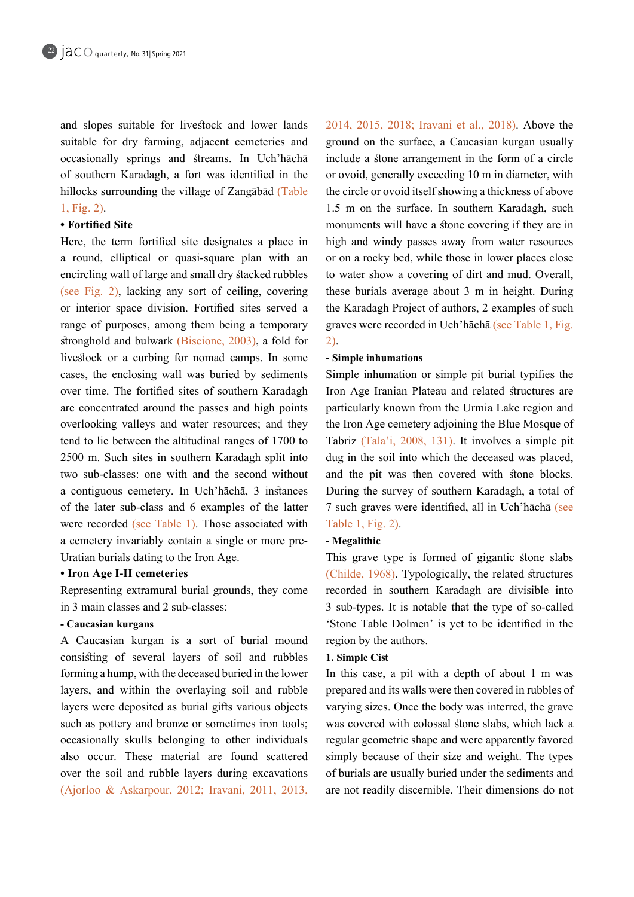and slopes suitable for livestock and lower lands suitable for dry farming, adjacent cemeteries and occasionally springs and streams. In Uch'hacha of southern Karadagh, a fort was identified in the hillocks surrounding the village of Zangābād (Table  $1, Fig. 2)$ .

# • Fortified Site

Here, the term fortified site designates a place in a round, elliptical or quasi-square plan with an encircling wall of large and small dry stacked rubbles (see Fig. 2), lacking any sort of ceiling, covering or interior space division. Fortified sites served a range of purposes, among them being a temporary stronghold and bulwark (Biscione,  $2003$ ), a fold for livestock or a curbing for nomad camps. In some cases, the enclosing wall was buried by sediments over time. The fortified sites of southern Karadagh are concentrated around the passes and high points overlooking valleys and water resources; and they tend to lie between the altitudinal ranges of 1700 to 2500 m. Such sites in southern Karadagh split into two sub-classes: one with and the second without a contiguous cemetery. In Uch hāchā, 3 instances of the latter sub-class and 6 examples of the latter were recorded (see Table 1). Those associated with a cemetery invariably contain a single or more pre-<br>Uratian burials dating to the Iron Age.

# **c** Iron Age I-II cemeteries

Representing extramural burial grounds, they come in 3 main classes and 2 sub-classes:

# **kurgans Caucasian -**

A Caucasian kurgan is a sort of burial mound consisting of several layers of soil and rubbles forming a hump, with the deceased buried in the lower layers, and within the overlaying soil and rubble layers were deposited as burial gifts various objects such as pottery and bronze or sometimes iron tools; occasionally skulls belonging to other individuals also occur. These material are found scattered over the soil and rubble layers during excavations (Ajorloo & Askarpour, 2012; Iravani, 2011, 2013, 2014, 2015, 2018: Iravani et al., 2018). Above the ground on the surface, a Caucasian kurgan usually include a stone arrangement in the form of a circle or ovoid, generally exceeding 10 m in diameter, with the circle or ovoid itself showing a thickness of above 1.5 m on the surface. In southern Karadagh, such monuments will have a stone covering if they are in high and windy passes away from water resources or on a rocky bed, while those in lower places close to water show a covering of dirt and mud. Overall, these burials average about 3 m in height. During the Karadagh Project of authors, 2 examples of such graves were recorded in Uch'hāchā (see Table 1, Fig.  $(2)$ .

#### **-** Simple inhumations

Simple inhumation or simple pit burial typifies the Iron Age Iranian Plateau and related structures are particularly known from the Urmia Lake region and the Iron Age cemetery adjoining the Blue Mosque of Tabriz (Tala'i, 2008, 131). It involves a simple pit dug in the soil into which the deceased was placed, and the pit was then covered with stone blocks. During the survey of southern Karadagh, a total of 7 such graves were identified, all in Uch hacha (see Table 1, Fig. 2).

# **Megalithic -**

This grave type is formed of gigantic stone slabs  $(Childe, 1968)$ . Typologically, the related structures recorded in southern Karadagh are divisible into 3 sub-types. It is notable that the type of so-called 'Stone Table Dolmen' is yet to be identified in the region by the authors.

# **1. Simple Cist**

In this case, a pit with a depth of about  $1 \text{ m}$  was prepared and its walls were then covered in rubbles of varying sizes. Once the body was interred, the grave was covered with colossal stone slabs, which lack a regular geometric shape and were apparently favored simply because of their size and weight. The types of burials are usually buried under the sediments and are not readily discernible. Their dimensions do not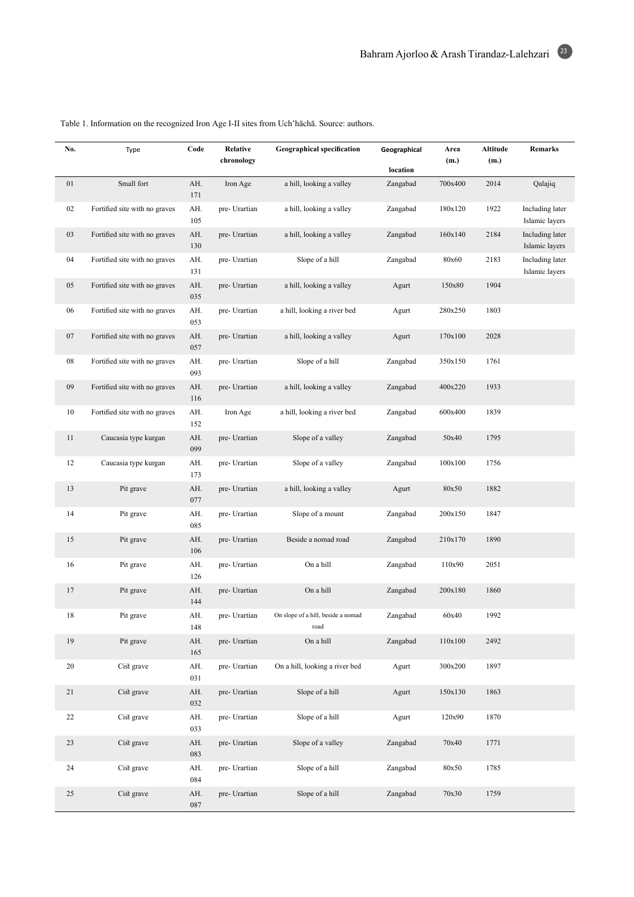| No.    | Type                          | Code       | Relative<br>chronology | <b>Geographical specification</b>          | Geographical         | Area<br>(m.) | Altitude<br>(m.) | Remarks                           |
|--------|-------------------------------|------------|------------------------|--------------------------------------------|----------------------|--------------|------------------|-----------------------------------|
| 01     | Small fort                    | AH.        |                        | a hill, looking a valley                   | location<br>Zangabad | 700x400      | 2014             | Qalajiq                           |
|        |                               | 171        | Iron Age               |                                            |                      |              |                  |                                   |
| 02     | Fortified site with no graves | AH.<br>105 | pre- Urartian          | a hill, looking a valley                   | Zangabad             | 180x120      | 1922             | Including later<br>Islamic layers |
| 03     | Fortified site with no graves | AH.<br>130 | pre- Urartian          | a hill, looking a valley                   | Zangabad             | 160x140      | 2184             | Including later<br>Islamic layers |
| 04     | Fortified site with no graves | AH.<br>131 | pre- Urartian          | Slope of a hill                            | Zangabad             | 80x60        | 2183             | Including later<br>Islamic layers |
| 05     | Fortified site with no graves | AH.<br>035 | pre- Urartian          | a hill, looking a valley                   | Agurt                | 150x80       | 1904             |                                   |
| 06     | Fortified site with no graves | AH.<br>053 | pre- Urartian          | a hill, looking a river bed                | Agurt                | 280x250      | 1803             |                                   |
| 07     | Fortified site with no graves | AH.<br>057 | pre- Urartian          | a hill, looking a valley                   | Agurt                | 170x100      | 2028             |                                   |
| $08\,$ | Fortified site with no graves | AH.<br>093 | pre- Urartian          | Slope of a hill                            | Zangabad             | 350x150      | 1761             |                                   |
| 09     | Fortified site with no graves | AH.<br>116 | pre- Urartian          | a hill, looking a valley                   | Zangabad             | 400x220      | 1933             |                                   |
| 10     | Fortified site with no graves | AH.<br>152 | Iron Age               | a hill, looking a river bed                | Zangabad             | 600x400      | 1839             |                                   |
| 11     | Caucasia type kurgan          | AH.<br>099 | pre- Urartian          | Slope of a valley                          | Zangabad             | 50x40        | 1795             |                                   |
| 12     | Caucasia type kurgan          | AH.<br>173 | pre- Urartian          | Slope of a valley                          | Zangabad             | 100x100      | 1756             |                                   |
| 13     | Pit grave                     | AH.<br>077 | pre- Urartian          | a hill, looking a valley                   | Agurt                | 80x50        | 1882             |                                   |
| 14     | Pit grave                     | AH.<br>085 | pre- Urartian          | Slope of a mount                           | Zangabad             | 200x150      | 1847             |                                   |
| 15     | Pit grave                     | AH.<br>106 | pre- Urartian          | Beside a nomad road                        | Zangabad             | 210x170      | 1890             |                                   |
| 16     | Pit grave                     | AH.<br>126 | pre- Urartian          | On a hill                                  | Zangabad             | 110x90       | 2051             |                                   |
| 17     | Pit grave                     | AH.<br>144 | pre- Urartian          | On a hill                                  | Zangabad             | 200x180      | 1860             |                                   |
| 18     | Pit grave                     | AH.<br>148 | pre- Urartian          | On slope of a hill, beside a nomad<br>road | $\mbox{Zangabad}$    | 60x40        | 1992             |                                   |
| $19\,$ | Pit grave                     | AH.<br>165 | pre- Urartian          | On a hill                                  | Zangabad             | 110x100      | 2492             |                                   |
| 20     | Cist grave                    | AH.<br>031 | pre- Urartian          | On a hill, looking a river bed             | Agurt                | 300x200      | 1897             |                                   |
| 21     | Cist grave                    | AH.<br>032 | pre- Urartian          | Slope of a hill                            | Agurt                | 150x130      | 1863             |                                   |
| 22     | Cist grave                    | AH.<br>033 | pre- Urartian          | Slope of a hill                            | Agurt                | 120x90       | 1870             |                                   |
| 23     | Cist grave                    | AH.<br>083 | pre- Urartian          | Slope of a valley                          | Zangabad             | 70x40        | 1771             |                                   |
| 24     | Cist grave                    | AH.<br>084 | pre- Urartian          | Slope of a hill                            | Zangabad             | 80x50        | 1785             |                                   |
| 25     | Cist grave                    | AH.<br>087 | pre- Urartian          | Slope of a hill                            | Zangabad             | 70x30        | 1759             |                                   |

Table 1. Information on the recognized Iron Age I-II sites from Uch'hāchā. Source: authors.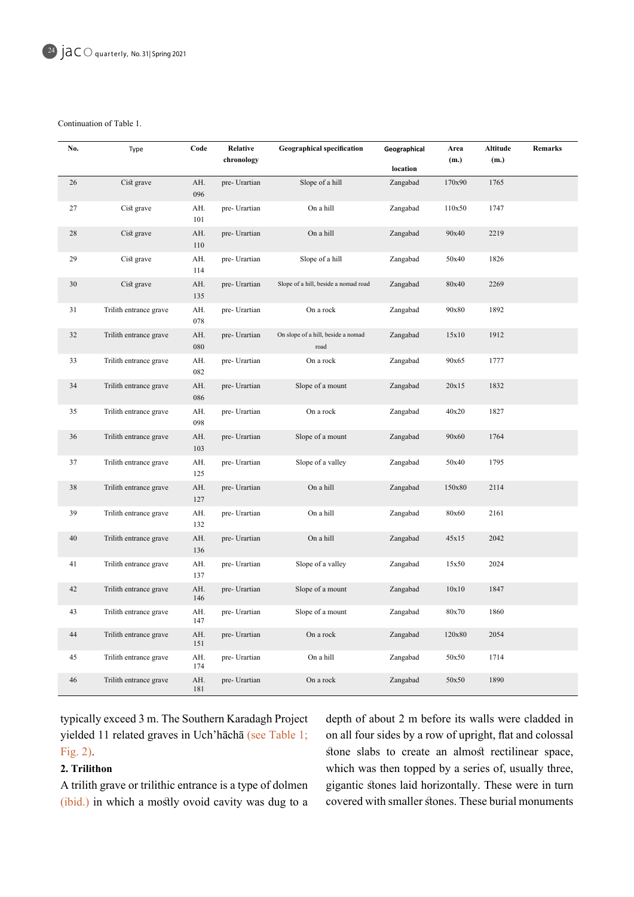Continuation of Table 1.

| No.    | Type                   | Code       | Relative<br>chronology | <b>Geographical specification</b>          | Geographical | Area<br>(m.) | Altitude<br>(m.) | Remarks |
|--------|------------------------|------------|------------------------|--------------------------------------------|--------------|--------------|------------------|---------|
|        |                        |            |                        |                                            | location     |              |                  |         |
| 26     | Cist grave             | AH.<br>096 | pre- Urartian          | Slope of a hill                            | Zangabad     | 170x90       | 1765             |         |
| 27     | Cist grave             | AH.<br>101 | pre- Urartian          | On a hill                                  | Zangabad     | 110x50       | 1747             |         |
| $28\,$ | Cist grave             | AH.<br>110 | pre- Urartian          | On a hill                                  | Zangabad     | 90x40        | 2219             |         |
| 29     | Cist grave             | AH.<br>114 | pre- Urartian          | Slope of a hill                            | Zangabad     | 50x40        | 1826             |         |
| $30\,$ | Cist grave             | AH.<br>135 | pre- Urartian          | Slope of a hill, beside a nomad road       | Zangabad     | 80x40        | 2269             |         |
| 31     | Trilith entrance grave | AH.<br>078 | pre- Urartian          | On a rock                                  | Zangabad     | 90x80        | 1892             |         |
| 32     | Trilith entrance grave | AH.<br>080 | pre- Urartian          | On slope of a hill, beside a nomad<br>road | Zangabad     | 15x10        | 1912             |         |
| 33     | Trilith entrance grave | AH.<br>082 | pre- Urartian          | On a rock                                  | Zangabad     | 90x65        | 1777             |         |
| 34     | Trilith entrance grave | AH.<br>086 | pre- Urartian          | Slope of a mount                           | Zangabad     | 20x15        | 1832             |         |
| 35     | Trilith entrance grave | AH.<br>098 | pre- Urartian          | On a rock                                  | Zangabad     | 40x20        | 1827             |         |
| 36     | Trilith entrance grave | AH.<br>103 | pre- Urartian          | Slope of a mount                           | Zangabad     | 90x60        | 1764             |         |
| 37     | Trilith entrance grave | AH.<br>125 | pre- Urartian          | Slope of a valley                          | Zangabad     | 50x40        | 1795             |         |
| 38     | Trilith entrance grave | AH.<br>127 | pre- Urartian          | On a hill                                  | Zangabad     | 150x80       | 2114             |         |
| 39     | Trilith entrance grave | AH.<br>132 | pre- Urartian          | On a hill                                  | Zangabad     | 80x60        | 2161             |         |
| 40     | Trilith entrance grave | AH.<br>136 | pre- Urartian          | On a hill                                  | Zangabad     | 45x15        | 2042             |         |
| 41     | Trilith entrance grave | AH.<br>137 | pre- Urartian          | Slope of a valley                          | Zangabad     | 15x50        | 2024             |         |
| 42     | Trilith entrance grave | AH.<br>146 | pre- Urartian          | Slope of a mount                           | Zangabad     | 10x10        | 1847             |         |
| 43     | Trilith entrance grave | AH.<br>147 | pre- Urartian          | Slope of a mount                           | Zangabad     | 80x70        | 1860             |         |
| 44     | Trilith entrance grave | AH.<br>151 | pre- Urartian          | On a rock                                  | Zangabad     | 120x80       | 2054             |         |
| 45     | Trilith entrance grave | AH.<br>174 | pre- Urartian          | On a hill                                  | Zangabad     | 50x50        | 1714             |         |
| 46     | Trilith entrance grave | AH.<br>181 | pre- Urartian          | On a rock                                  | Zangabad     | 50x50        | 1890             |         |

typically exceed 3 m. The Southern Karadagh Project yielded 11 related graves in Uch'hāchā (see Table 1; Fig.  $2$ ).

# **Trilithon 2.**

A trilith grave or trilithic entrance is a type of dolmen  $(i$ bid.) in which a mostly ovoid cavity was dug to a

depth of about 2 m before its walls were cladded in on all four sides by a row of upright, flat and colossal stone slabs to create an almost rectilinear space, which was then topped by a series of, usually three, gigantic stones laid horizontally. These were in turn covered with smaller stones. These burial monuments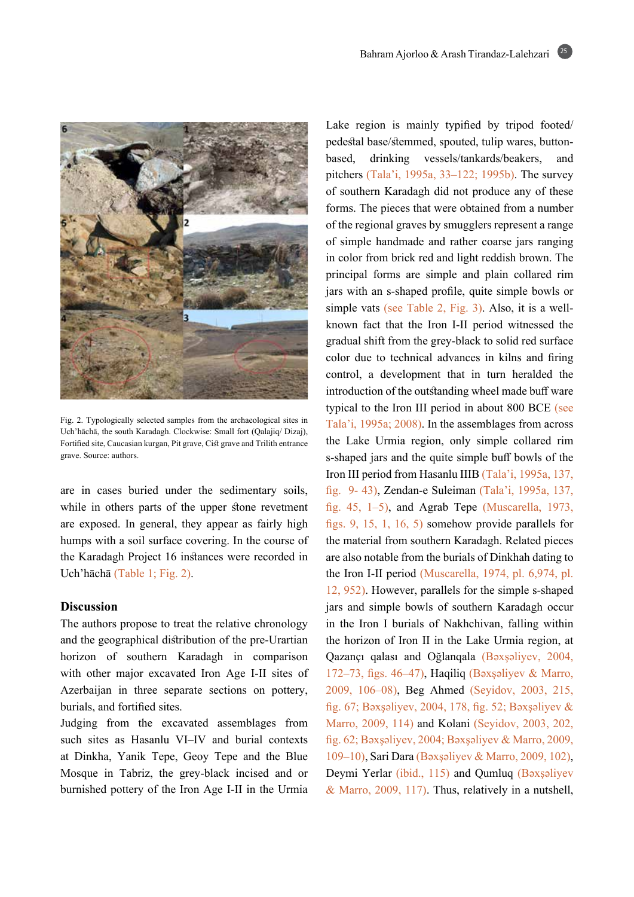25



Fig. 2. Typologically selected samples from the archaeological sites in Uch'hāchā, the south Karadagh. Clockwise: Small fort (Qalajiq/ Dizaj), Fortified site, Caucasian kurgan, Pit grave, Cist grave and Trilith entrance grave. Source: authors.

are in cases buried under the sedimentary soils, while in others parts of the upper stone revetment are exposed. In general, they appear as fairly high humps with a soil surface covering. In the course of the Karadagh Project 16 instances were recorded in Uch'hāchā (Table 1; Fig. 2).

### **Discussion**

The authors propose to treat the relative chronology and the geographical distribution of the pre-Urartian horizon of southern Karadagh in comparison with other major excavated Iron Age I-II sites of Azerbaijan in three separate sections on pottery, burials, and fortified sites.

Judging from the excavated assemblages from such sites as Hasanlu VI-IV and burial contexts at Dinkha, Yanik Tepe, Geoy Tepe and the Blue Mosque in Tabriz, the grey-black incised and or burnished pottery of the Iron Age I-II in the Urmia Lake region is mainly typified by tripod footed/ pedestal base/stemmed, spouted, tulip wares, button-<br>based, drinking vessels/tankards/beakers, and pitchers (Tala'i, 1995a, 33–122; 1995b). The survey of southern Karadagh did not produce any of these forms. The pieces that were obtained from a number of the regional graves by smugglers represent a range of simple handmade and rather coarse jars ranging in color from brick red and light reddish brown. The principal forms are simple and plain collared rim jars with an s-shaped profile, quite simple bowls or known fact that the Iron I-II period witnessed the simple vats (see Table 2, Fig. 3). Also, it is a wellgradual shift from the grey-black to solid red surface color due to technical advances in kilns and firing control, a development that in turn heralded the introduction of the outstanding wheel made buff ware typical to the Iron III period in about 800 BCE (see Tala'i, 1995a; 2008). In the assemblages from across the Lake Urmia region, only simple collared rim s-shaped jars and the quite simple buff bowls of the Iron III period from Hasanlu IIIB (Tala'i, 1995a, 137, fig. 9-43), Zendan-e Suleiman (Tala'i, 1995a, 137, fig. 45, 1–5), and Agrab Tepe (Muscarella, 1973, figs. 9, 15, 1, 16, 5) somehow provide parallels for the material from southern Karadagh. Related pieces are also notable from the burials of Dinkhah dating to the Iron I-II period (Muscarella, 1974, pl.  $6,974$ , pl. 12, 952). However, parallels for the simple s-shaped jars and simple bowls of southern Karadagh occur in the Iron I burials of Nakhchivan, falling within the horizon of Iron II in the Lake Urmia region, at Qazançı qalası and Oğlanqala (Bəxşəliyev, 2004, 172-73, figs. 46-47), Haqiliq (Bəxşəliyev & Marro, 2009, 106–08), Beg Ahmed (Seyidov, 2003, 215, fig. 67; Bəxşəliyev, 2004, 178, fig. 52; Bəxşəliyev & Marro, 2009, 114) and Kolani (Seyidov, 2003, 202, fig. 62; Bəxşəliyev, 2004; Bəxşəliyev & Marro, 2009, 109 – 10), Sari Dara (Bəxşəliyev & Marro, 2009, 102), Deymi Yerlar (ibid., 115) and Qumluq (Baxşəliyev & Marro,  $2009$ , 117). Thus, relatively in a nutshell,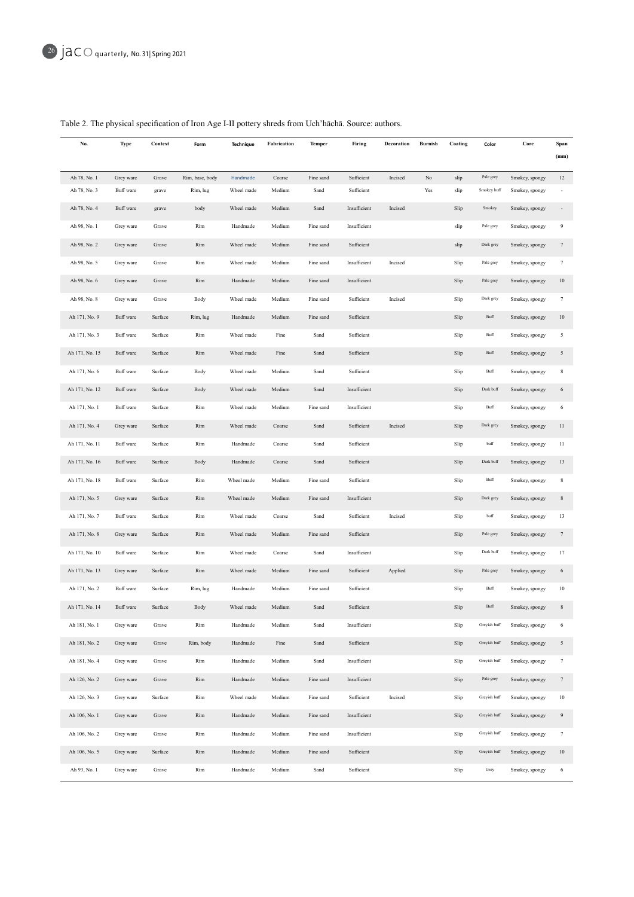| No.                          | Type                   | Context        | Form                        | Technique              | Fabrication | Temper            | Firing       | Decoration | <b>Burnish</b> | Coating      | Color                       | Core                             | Span<br>(mm)    |
|------------------------------|------------------------|----------------|-----------------------------|------------------------|-------------|-------------------|--------------|------------|----------------|--------------|-----------------------------|----------------------------------|-----------------|
|                              |                        |                |                             |                        | Coarse      |                   | Sufficient   | Incised    | $_{\rm No}$    |              |                             |                                  | 12              |
| Ah 78, No. 1<br>Ah 78, No. 3 | Grey ware<br>Buff ware | Grave<br>grave | Rim, base, body<br>Rim, lug | Handmade<br>Wheel made | Medium      | Fine sand<br>Sand | Sufficient   |            | Yes            | slip<br>slip | Pale grey<br>Smokey buff    | Smokey, spongy<br>Smokey, spongy | ä,              |
| Ah 78, No. 4                 | Buff ware              | grave          | body                        | Wheel made             | Medium      | Sand              | Insufficient | Incised    |                | Slip         | Smokey                      | Smokey, spongy                   |                 |
| Ah 98, No. 1                 | Grey ware              | Grave          | Rim                         | Handmade               | Medium      | Fine sand         | Insufficient |            |                | slip         | Pale grey                   | Smokey, spongy                   | 9               |
| Ah 98, No. 2                 | Grey ware              | Grave          | Rim                         | Wheel made             | Medium      | Fine sand         | Sufficient   |            |                | slip         | Dark grey                   | Smokey, spongy                   | $7\phantom{.}$  |
| Ah 98, No. 5                 | Grey ware              | Grave          | Rim                         | Wheel made             | Medium      | Fine sand         | Insufficient | Incised    |                | Slip         | Pale grey                   | Smokey, spongy                   | $\tau$          |
| Ah 98, No. 6                 | Grey ware              | Grave          | Rim                         | Handmade               | Medium      | Fine sand         | Insufficient |            |                | Slip         | Pale grey                   | Smokey, spongy                   | 10              |
| Ah 98, No. 8                 | Grey ware              | Grave          | Body                        | Wheel made             | Medium      | Fine sand         | Sufficient   | Incised    |                | Slip         | Dark grey                   | Smokey, spongy                   | $\tau$          |
| Ah 171, No. 9                | Buff ware              | Surface        | Rim, lug                    | Handmade               | Medium      | Fine sand         | Sufficient   |            |                | Slip         | $\mathop{\hbox{\rm{Buff}}}$ | Smokey, spongy                   | 10              |
| Ah 171, No. 3                | Buff ware              | Surface        | Rim                         | Wheel made             | Fine        | Sand              | Sufficient   |            |                | Slip         | Buff                        | Smokey, spongy                   | 5               |
| Ah 171, No. 15               | Buff ware              | Surface        | Rim                         | Wheel made             | Fine        | Sand              | Sufficient   |            |                | Slip         | Buff                        | Smokey, spongy                   | $\mathfrak{s}$  |
| Ah 171, No. 6                | Buff ware              | Surface        | Body                        | Wheel made             | Medium      | Sand              | Sufficient   |            |                | Slip         | Buff                        | Smokey, spongy                   | $\,$ 8 $\,$     |
| Ah 171, No. 12               | Buff ware              | Surface        | Body                        | Wheel made             | Medium      | Sand              | Insufficient |            |                | Slip         | Dark buff                   | Smokey, spongy                   | 6               |
| Ah 171, No. 1                | Buff ware              | Surface        | Rim                         | Wheel made             | Medium      | Fine sand         | Insufficient |            |                | Slip         | Buff                        | Smokey, spongy                   | 6               |
| Ah 171, No. 4                | Grey ware              | Surface        | Rim                         | Wheel made             | Coarse      | Sand              | Sufficient   | Incised    |                | Slip         | Dark grey                   | Smokey, spongy                   | 11              |
| Ah 171, No. 11               | Buff ware              | Surface        | Rim                         | Handmade               | Coarse      | Sand              | Sufficient   |            |                | Slip         | buff                        | Smokey, spongy                   | 11              |
| Ah 171, No. 16               | Buff ware              | Surface        |                             | Handmade               |             | Sand              | Sufficient   |            |                |              | Dark buff                   |                                  | 13              |
|                              |                        |                | Body                        |                        | Coarse      |                   |              |            |                | Slip         |                             | Smokey, spongy                   |                 |
| Ah 171, No. 18               | Buff ware              | Surface        | Rim                         | Wheel made             | Medium      | Fine sand         | Sufficient   |            |                | Slip         | Buff                        | Smokey, spongy                   | 8               |
| Ah 171, No. 5                | Grey ware              | Surface        | Rim                         | Wheel made             | Medium      | Fine sand         | Insufficient |            |                | Slip         | Dark grey                   | Smokey, spongy                   | 8               |
| Ah 171, No. 7                | Buff ware              | Surface        | Rim                         | Wheel made             | Coarse      | Sand              | Sufficient   | Incised    |                | Slip         | buff                        | Smokey, spongy                   | 13              |
| Ah 171, No. 8                | Grey ware              | Surface        | Rim                         | Wheel made             | Medium      | Fine sand         | Sufficient   |            |                | Slip         | Pale grey                   | Smokey, spongy                   | $7\phantom{.0}$ |
| Ah 171, No. 10               | Buff ware              | Surface        | Rim                         | Wheel made             | Coarse      | Sand              | Insufficient |            |                | Slip         | Dark buff                   | Smokey, spongy                   | 17              |
| Ah 171, No. 13               | Grey ware              | Surface        | Rim                         | Wheel made             | Medium      | Fine sand         | Sufficient   | Applied    |                | Slip         | Pale grey                   | Smokey, spongy                   | 6               |
| Ah 171, No. 2                | Buff ware              | Surface        | Rim, lug                    | Handmade               | Medium      | Fine sand         | Sufficient   |            |                | Slip         | Buff                        | Smokey, spongy                   | 10              |
| Ah 171, No. 14               | Buff ware              | Surface        | Body                        | Wheel made             | Medium      | Sand              | Sufficient   |            |                | Slip         | Buff                        | Smokey, spongy                   | 8               |
| Ah 181, No. 1                | Grey ware              | Grave          | Rim                         | Handmade               | Medium      | Sand              | Insufficient |            |                | Slip         | Greyish buff                | Smokey, spongy                   | 6               |
| Ah 181, No. 2                | Grey ware              | Grave          | Rim, body                   | Handmade               | Fine        | Sand              | Sufficient   |            |                | Slip         | Greyish buff                | Smokey, spongy                   | 5               |
| Ah 181, No. 4                | Grey ware              | Grave          | Rim                         | Handmade               | Medium      | Sand              | Insufficient |            |                | Slip         | Greyish buff                | Smokey, spongy                   | $\tau$          |
| Ah 126, No. 2                | Grey ware              | Grave          | Rim                         | Handmade               | Medium      | Fine sand         | Insufficient |            |                | Slip         | Pale grey                   | Smokey, spongy                   | $7\phantom{.0}$ |
| Ah 126, No. 3                | Grey ware              | Surface        | Rim                         | Wheel made             | Medium      | Fine sand         | Sufficient   | Incised    |                | Slip         | Greyish buff                | Smokey, spongy                   | $10\,$          |
| Ah 106, No. 1                | Grey ware              | Grave          | Rim                         | Handmade               | Medium      | Fine sand         | Insufficient |            |                | Slip         | Greyish buff                | Smokey, spongy                   | 9               |
| Ah 106, No. 2                | Grey ware              | Grave          | Rim                         | Handmade               | Medium      | Fine sand         | Insufficient |            |                | Slip         | Greyish buff                | Smokey, spongy                   | $\tau$          |
| Ah 106, No. 5                | Grey ware              | Surface        | Rim                         | Handmade               | Medium      | Fine sand         | Sufficient   |            |                | Slip         | Greyish buff                | Smokey, spongy                   | 10              |
| Ah 93, No. 1                 | Grey ware              | Grave          | Rim                         | Handmade               | Medium      | Sand              | Sufficient   |            |                | Slip         | Grey                        | Smokey, spongy                   | 6               |

# Table 2. The physical specification of Iron Age I-II pottery shreds from Uch'hāchā. Source: authors.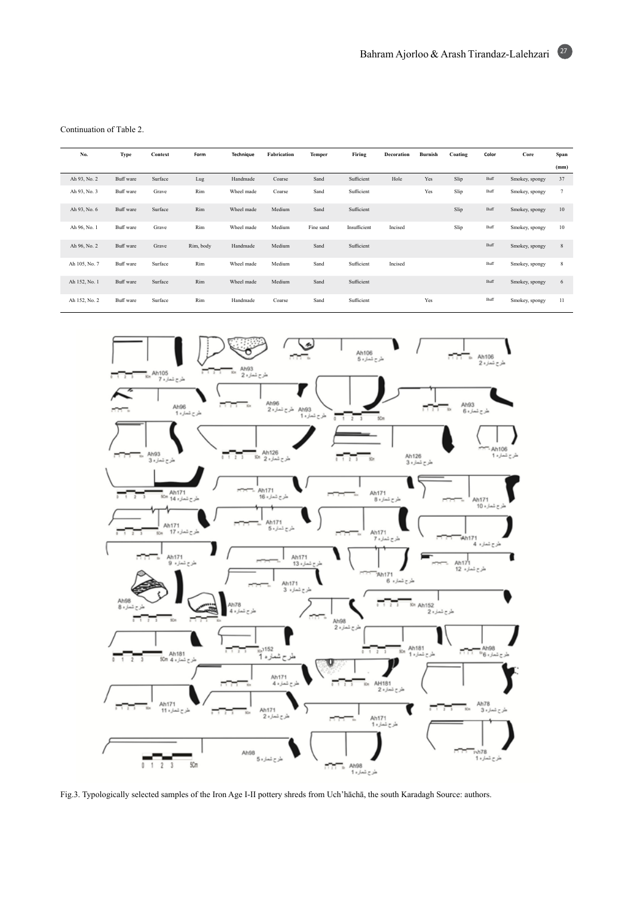Continuation of Table 2.

| No.           | Type      | Context | Form      | <b>Technique</b> | Fabrication | Temper    | Firing       | Decoration | Burnish | Coating | Color | Core           | Span   |
|---------------|-----------|---------|-----------|------------------|-------------|-----------|--------------|------------|---------|---------|-------|----------------|--------|
|               |           |         |           |                  |             |           |              |            |         |         |       |                | (mm)   |
| Ah 93, No. 2  | Buff ware | Surface | Lug       | Handmade         | Coarse      | Sand      | Sufficient   | Hole       | Yes     | Slip    | Buff  | Smokey, spongy | 37     |
| Ah 93, No. 3  | Buff ware | Grave   | Rim       | Wheel made       | Coarse      | Sand      | Sufficient   |            | Yes     | Slip    | Buff  | Smokey, spongy | $\tau$ |
| Ah 93, No. 6  | Buff ware | Surface | Rim       | Wheel made       | Medium      | Sand      | Sufficient   |            |         | Slip    | Buff  | Smokey, spongy | 10     |
| Ah 96, No. 1  | Buff ware | Grave   | Rim       | Wheel made       | Medium      | Fine sand | Insufficient | Incised    |         | Slip    | Buff  | Smokey, spongy | 10     |
| Ah 96, No. 2  | Buff ware | Grave   | Rim, body | Handmade         | Medium      | Sand      | Sufficient   |            |         |         | Buff  | Smokey, spongy | 8      |
| Ah 105, No. 7 | Buff ware | Surface | Rim       | Wheel made       | Medium      | Sand      | Sufficient   | Incised    |         |         | Buff  | Smokey, spongy | 8      |
| Ah 152, No. 1 | Buff ware | Surface | Rim       | Wheel made       | Medium      | Sand      | Sufficient   |            |         |         | Buff  | Smokey, spongy | 6      |
| Ah 152, No. 2 | Buff ware | Surface | Rim       | Handmade         | Coarse      | Sand      | Sufficient   |            | Yes     |         | Buff  | Smokey, spongy | 11     |



Fig.3. Typologically selected samples of the Iron Age I-II pottery shreds from Uch'hāchā, the south Karadagh Source: authors.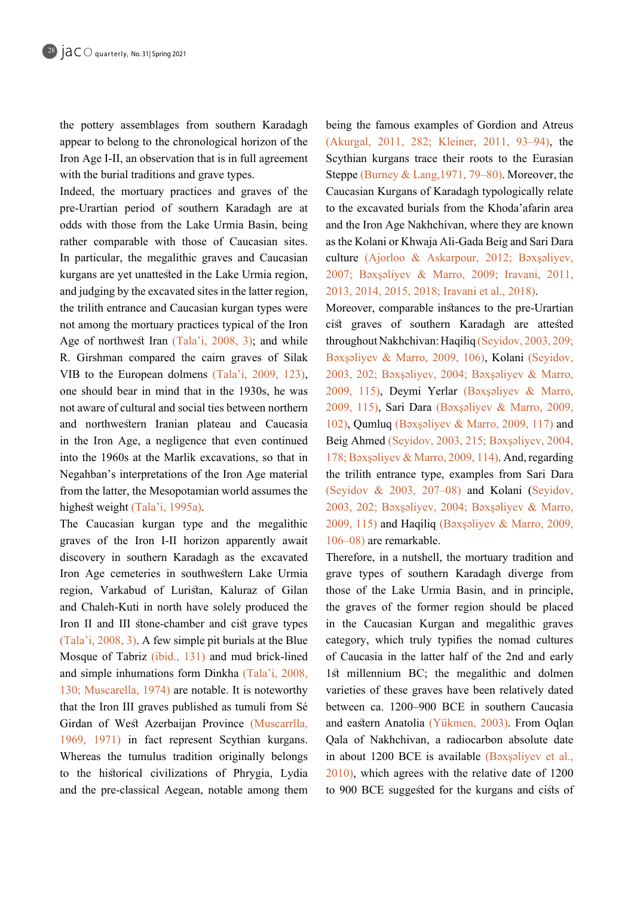the pottery assemblages from southern Karadagh appear to belong to the chronological horizon of the Iron Age I-II, an observation that is in full agreement with the burial traditions and grave types.

Indeed, the mortuary practices and graves of the pre-Urartian period of southern Karadagh are at odds with those from the Lake Urmia Basin, being rather comparable with those of Caucasian sites. In particular, the megalithic graves and Caucasian kurgans are yet unattested in the Lake Urmia region, and judging by the excavated sites in the latter region, the trilith entrance and Caucasian kurgan types were not among the mortuary practices typical of the Iron Age of northwest Iran  $(Tala'i, 2008, 3)$ ; and while R. Girshman compared the cairn graves of Silak VIB to the European dolmens  $(Tala'i, 2009, 123)$ , one should bear in mind that in the 1930s, he was not aware of cultural and social ties between northern and northwestern Iranian plateau and Caucasia in the Iron Age, a negligence that even continued into the 1960s at the Marlik excavations, so that in Negahban's interpretations of the Iron Age material from the latter, the Mesopotamian world assumes the highest weight  $(Tala'i, 1995a)$ .

The Caucasian kurgan type and the megalithic graves of the Iron I-II horizon apparently await discovery in southern Karadagh as the excavated Iron Age cemeteries in southwestern Lake Urmia region, Varkabud of Luristan, Kaluraz of Gilan and Chaleh-Kuti in north have solely produced the Iron II and III stone-chamber and cist grave types  $(Tala'i, 2008, 3)$ . A few simple pit burials at the Blue Mosque of Tabriz (ibid., 131) and mud brick-lined and simple inhumations form Dinkha (Tala'i, 2008, 130; Muscarella, 1974) are notable. It is noteworthy that the Iron III graves published as tumuli from Sé Girdan of West Azerbaijan Province (Muscarrlla, 1969, 1971) in fact represent Scythian kurgans. Whereas the tumulus tradition originally belongs to the historical civilizations of Phrygia, Lydia and the pre-classical Aegean, notable among them

being the famous examples of Gordion and Atreus (Akurgal, 2011, 282; Kleiner, 2011, 93–94), the Scythian kurgans trace their roots to the Eurasian Steppe (Burney & Lang, 1971, 79–80). Moreover, the Caucasian Kurgans of Karadagh typologically relate to the excavated burials from the Khoda'afarin area and the Iron Age Nakhchivan, where they are known as the Kolani or Khwaja Ali-Gada Beig and Sari Dara culture (Ajorloo & Askarpour, 2012; Baxşaliyev, 2007; Bəxşəliyev & Marro, 2009; Iravani, 2011, 2013, 2014, 2015, 2018; Iravani et al., 2018).

Moreover, comparable instances to the pre-Urartian cist graves of southern Karadagh are attested throughout Nakhchivan: Haqiliq (Seyidov, 2003, 209; Bəxşəliyev & Marro, 2009, 106), Kolani (Seyidov, 2003, 202; Bəxşəliyev, 2004; Bəxşəliyev & Marro, 2009, 115), Deymi Yerlar (Bəxsəliyev & Marro, 2009, 115), Sari Dara (Bəxşəliyev & Marro, 2009, 102), Qumluq (Bəxşəliyev & Marro, 2009, 117) and Beig Ahmed (Seyidov, 2003, 215; Bəxşəliyev, 2004, 178; Bəxşəliyev & Marro, 2009, 114). And, regarding the trilith entrance type, examples from Sari Dara (Seyidov & 2003, 207-08) and Kolani (Seyidov, 2003, 202; Bəxsəliyev, 2004; Bəxsəliyev & Marro, 2009, 115) and Haqiliq (Bəxşəliyev & Marro, 2009,  $106 - 08$ ) are remarkable.

Therefore, in a nutshell, the mortuary tradition and grave types of southern Karadagh diverge from those of the Lake Urmia Basin, and in principle, the graves of the former region should be placed in the Caucasian Kurgan and megalithic graves category, which truly typifies the nomad cultures of Caucasia in the latter half of the 2nd and early 1st millennium BC; the megalithic and dolmen varieties of these graves have been relatively dated between ca. 1200-900 BCE in southern Caucasia and eastern Anatolia (Yükmen, 2003). From Oqlan Qala of Nakhchivan, a radiocarbon absolute date in about  $1200$  BCE is available (Boxsoliyev et al.,  $2010$ ), which agrees with the relative date of  $1200$ to 900 BCE suggested for the kurgans and cists of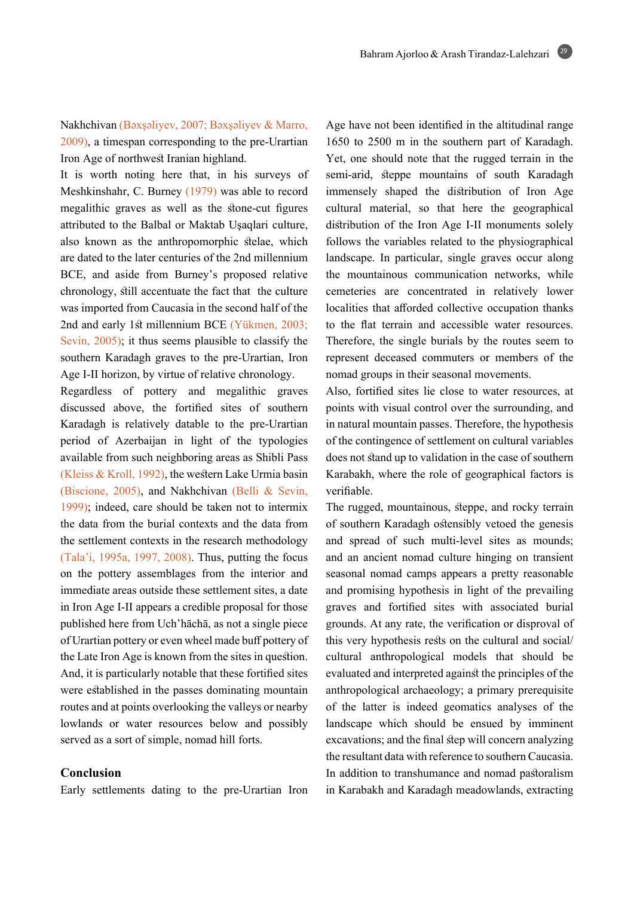Nakhchivan (Bəxşəliyev, 2007; Bəxşəliyev & Marro,  $2009$ ), a timespan corresponding to the pre-Urartian Iron Age of northwest Iranian highland.

It is worth noting here that, in his surveys of Meshkinshahr, C. Burney  $(1979)$  was able to record megalithic graves as well as the stone-cut figures attributed to the Balbal or Maktab Uşaqlari culture, also known as the anthropomorphic stelae, which are dated to the later centuries of the 2nd millennium BCE, and aside from Burney's proposed relative chronology, still accentuate the fact that the culture was imported from Caucasia in the second half of the 2nd and early 1st millennium BCE (Yükmen, 2003; Sevin,  $2005$ ); it thus seems plausible to classify the southern Karadagh graves to the pre-Urartian, Iron Age I-II horizon, by virtue of relative chronology.

Regardless of pottery and megalithic graves discussed above, the fortified sites of southern Karadagh is relatively datable to the pre-Urartian period of Azerbaijan in light of the typologies available from such neighboring areas as Shibli Pass (Kleiss & Kroll, 1992), the western Lake Urmia basin (Biscione, 2005), and Nakhchivan (Belli & Sevin,  $1999$ ); indeed, care should be taken not to intermix the data from the burial contexts and the data from the settlement contexts in the research methodology (Tala'i, 1995a, 1997, 2008). Thus, putting the focus on the pottery assemblages from the interior and immediate areas outside these settlement sites, a date in Iron Age I-II appears a credible proposal for those published here from Uch hacha, as not a single piece of Urartian pottery or even wheel made buff pottery of the Late Iron Age is known from the sites in question. And, it is particularly notable that these fortified sites were established in the passes dominating mountain routes and at points overlooking the valleys or nearby lowlands or water resources below and possibly served as a sort of simple, nomad hill forts.

## **Conclusion**

Early settlements dating to the pre-Urartian Iron

Age have not been identified in the altitudinal range  $1650$  to  $2500$  m in the southern part of Karadagh. Yet, one should note that the rugged terrain in the semi-arid, steppe mountains of south Karadagh immensely shaped the distribution of Iron Age cultural material, so that here the geographical distribution of the Iron Age I-II monuments solely follows the variables related to the physiographical landscape. In particular, single graves occur along the mountainous communication networks, while cemeteries are concentrated in relatively lower localities that afforded collective occupation thanks to the flat terrain and accessible water resources. Therefore, the single burials by the routes seem to represent deceased commuters or members of the nomad groups in their seasonal movements.

Also, fortified sites lie close to water resources, at points with visual control over the surrounding, and in natural mountain passes. Therefore, the hypothesis of the contingence of settlement on cultural variables does not stand up to validation in the case of southern Karabakh, where the role of geographical factors is .verifiable

The rugged, mountainous, steppe, and rocky terrain of southern Karadagh ostensibly vetoed the genesis and spread of such multi-level sites as mounds; and an ancient nomad culture hinging on transient seasonal nomad camps appears a pretty reasonable and promising hypothesis in light of the prevailing graves and fortified sites with associated burial grounds. At any rate, the verification or disproval of this very hypothesis rests on the cultural and social/ cultural anthropological models that should be evaluated and interpreted against the principles of the anthropological archaeology; a primary prerequisite of the latter is indeed geomatics analyses of the landscape which should be ensued by imminent excavations; and the final step will concern analyzing the resultant data with reference to southern Caucasia. In addition to transhumance and nomad pastoralism in Karabakh and Karadagh meadowlands, extracting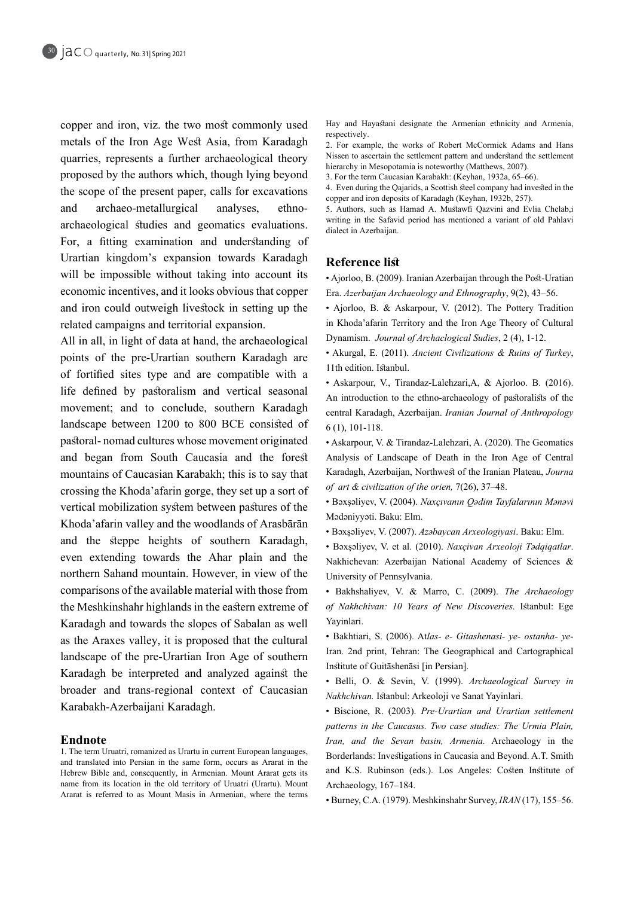copper and iron, viz. the two most commonly used metals of the Iron Age West Asia, from Karadagh quarries, represents a further archaeological theory proposed by the authors which, though lying beyond the scope of the present paper, calls for excavations and archaeo-metallurgical analyses, ethno-<br>archaeological studies and geomatics evaluations. archaeo-metallurgical For, a fitting examination and understanding of Urartian kingdom's expansion towards Karadagh will be impossible without taking into account its economic incentives, and it looks obvious that copper and iron could outweigh livestock in setting up the related campaigns and territorial expansion.

All in all, in light of data at hand, the archaeological points of the pre-Urartian southern Karadagh are of fortified sites type and are compatible with a life defined by pastoralism and vertical seasonal movement; and to conclude, southern Karadagh landscape between 1200 to 800 BCE consisted of pastoral-nomad cultures whose movement originated and began from South Caucasia and the forest mountains of Caucasian Karabakh; this is to say that crossing the Khoda'afarin gorge, they set up a sort of vertical mobilization system between pastures of the Khoda'afarin valley and the woodlands of Arasbārān and the steppe heights of southern Karadagh, even extending towards the Ahar plain and the northern Sahand mountain. However, in view of the comparisons of the available material with those from the Meshkinshahr highlands in the eastern extreme of Karadagh and towards the slopes of Sabalan as well as the Araxes valley, it is proposed that the cultural landscape of the pre-Urartian Iron Age of southern Karadagh be interpreted and analyzed against the broader and trans-regional context of Caucasian Karabakh-Azerbaijani Karadagh.

#### **Endnote**

1. The term Uruatri, romanized as Urartu in current European languages, and translated into Persian in the same form, occurs as Ararat in the Hebrew Bible and, consequently, in Armenian. Mount Ararat gets its name from its location in the old territory of Uruatri (Urartu). Mount Ararat is referred to as Mount Masis in Armenian, where the terms Hay and Hayastani designate the Armenian ethnicity and Armenia, respectively.

2. For example, the works of Robert McCormick Adams and Hans Nissen to ascertain the settlement pattern and understand the settlement hierarchy in Mesopotamia is noteworthy (Matthews, 2007).

3. For the term Caucasian Karabakh: (Keyhan, 1932a, 65-66).

4. Even during the Qajarids, a Scottish steel company had invested in the copper and iron deposits of Karadagh (Keyhan, 1932b, 257).

5. Authors, such as Hamad A. Mustawfi Qazvini and Evlia Chelab,i writing in the Safavid period has mentioned a variant of old Pahlavi dialect in Azerbaijan.

# **Reference** list

• Ajorloo, B. (2009). Iranian Azerbaijan through the Post-Uratian Era. Azerbaijan Archaeology and Ethnography, 9(2), 43-56.

• Ajorloo, B. & Askarpour, V. (2012). The Pottery Tradition in Khoda'afarin Territory and the Iron Age Theory of Cultural Dynamism. Journal of Archaclogical Sudies, 2 (4), 1-12.

• Akurgal, E. (2011). Ancient Civilizations & Ruins of Turkey, 11th edition. Istanbul.

• Askarpour, V., Tirandaz-Lalehzari, A, & Ajorloo. B. (2016). An introduction to the ethno-archaeology of pastoralists of the central Karadagh, Azerbaijan. *Iranian Journal of Anthropology*  $6(1)$ , 101-118.

• Askarpour, V. & Tirandaz-Lalehzari, A. (2020). The Geomatics Analysis of Landscape of Death in the Iron Age of Central Karadagh, Azerbaijan, Northwest of the Iranian Plateau, Journa of art & civilization of the orien, 7(26), 37-48.

 $\cdot$  Bəxşəliyev, V. (2004). Naxçıvanın Qədim Tayfalarının Mənəvi Mədəniyyəti. Baku: Elm.

• Bəxsəliyev, V. (2007). Azəbaycan Arxeologiyasi. Baku: Elm.

• Bəxşəliyev, V. et al. (2010). Naxçivan Arxeoloji Tədqiqatlar. Nakhichevan: Azerbaijan National Academy of Sciences & University of Pennsylvania.

• Bakhshaliyev, V. & Marro, C. (2009). The Archaeology of Nakhchivan: 10 Years of New Discoveries. Istanbul: Ege Yayinlari.

Iran. 2nd print, Tehran: The Geographical and Cartographical **• Bakhtiari, S. (2006). Atlas- e- Gitashenasi- ye- ostanha- ye-**Institute of Guitāshenāsi [in Persian].

**·** Belli, O. & Sevin, V. (1999). Archaeological Survey in Nakhchivan. Istanbul: Arkeoloji ve Sanat Yayinlari.

• Biscione, R. (2003). Pre-Urartian and Urartian settlement patterns in the Caucasus. Two case studies: The Urmia Plain, Iran, and the Sevan basin, Armenia. Archaeology in the Borderlands: Investigations in Caucasia and Beyond. A.T. Smith and K.S. Rubinson (eds.). Los Angeles: Costen Institute of Archaeology, 167-184.

• Burney, C.A. (1979). Meshkinshahr Survey, *IRAN* (17), 155-56.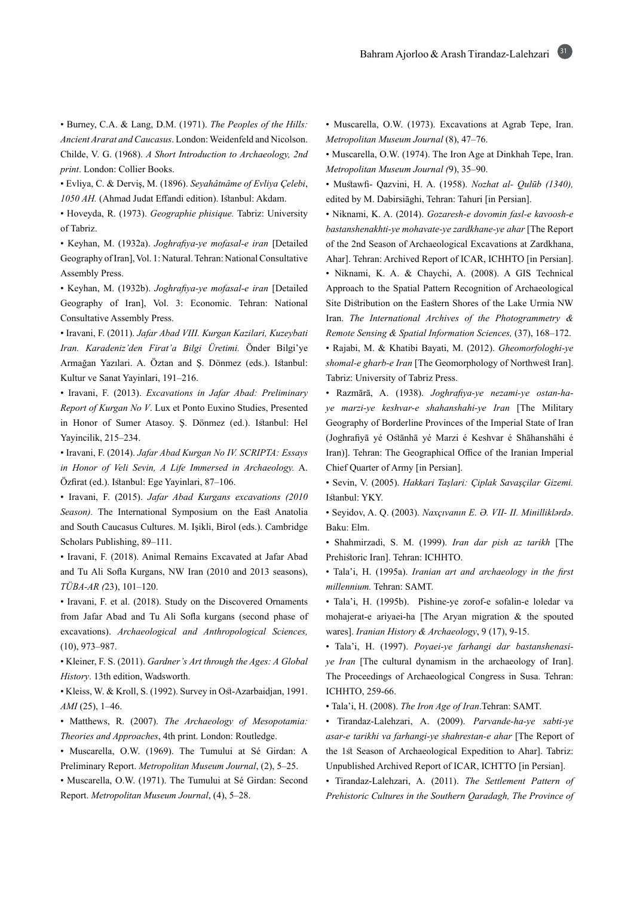**• Burney, C.A. & Lang, D.M.** (1971). The Peoples of the Hills: Ancient Ararat and Caucasus. London: Weidenfeld and Nicolson. Childe, V. G. (1968). *A Short Introduction to Archaeology, 2nd* print. London: Collier Books.

• Evliya, C. & Derviş, M. (1896). Seyahâtnâme of Evliya Çelebi, 1050 AH. (Ahmad Judat Effandi edition). Istanbul: Akdam.

• Hoveyda, R. (1973). Geographie phisique. Tabriz: University of Tabriz.

• Keyhan, M. (1932a). Joghrafiya-ye mofasal-e iran [Detailed Geography of Iran], Vol. 1: Natural. Tehran: National Consultative Assembly Press.

• Keyhan, M. (1932b). Joghrafiya-ye mofasal-e iran [Detailed Geography of Iran], Vol. 3: Economic. Tehran: National Consultative Assembly Press.

• Iravani, F. (2011). Jafar Abad VIII. Kurgan Kazilari, Kuzeybati Iran. Karadeniz'den Firat'a Bilgi Üretimi. Önder Bilgi'ye Armağan Yazılari. A. Öztan and Ş. Dönmez (eds.). Istanbul: Kultur ve Sanat Yayinlari, 191-216.

• Iravani, F. (2013). *Excavations in Jafar Abad: Preliminary* Report of Kurgan No V. Lux et Ponto Euxino Studies, Presented in Honor of Sumer Atasoy. Ş. Dönmez (ed.). Istanbul: Hel Yayincilik, 215-234.

 $\bullet$  Iravani, F. (2014). Jafar Abad Kurgan No IV. SCRIPTA: Essays in Honor of Veli Sevin, A Life Immersed in Archaeology. A. Özfirat (ed.). Istanbul: Ege Yayinlari, 87-106.

• Iravani, F. (2015). Jafar Abad Kurgans excavations (2010 Season). The International Symposium on the East Anatolia and South Caucasus Cultures. M. Işikli, Birol (eds.). Cambridge Scholars Publishing, 89-111.

• Iravani, F. (2018). Animal Remains Excavated at Jafar Abad and Tu Ali Sofla Kurgans, NW Iran (2010 and 2013 seasons), TÜBA-AR (23), 101-120.

• Iravani, F. et al. (2018). Study on the Discovered Ornaments from Jafar Abad and Tu Ali Sofla kurgans (second phase of excavations). Archaeological and Anthropological Sciences,  $(10), 973 - 987.$ 

• Kleiner, F. S. (2011). Gardner's Art through the Ages: A Global History. 13th edition, Wadsworth.

• Kleiss, W. & Kroll, S. (1992). Survey in Ost-Azarbaidjan, 1991. AMI (25), 1-46.

• Matthews, R. (2007). The Archaeology of Mesopotamia: Theories and Approaches, 4th print. London: Routledge.

· Muscarella, O.W. (1969). The Tumului at Sé Girdan: A Preliminary Report. *Metropolitan Museum Journal*, (2), 5–25.

• Muscarella, O.W. (1971). The Tumului at Sé Girdan: Second Report. Metropolitan Museum Journal, (4), 5-28.

• Muscarella, O.W. (1973). Excavations at Agrab Tepe, Iran. Metropolitan Museum Journal (8), 47-76.

• Muscarella, O.W. (1974). The Iron Age at Dinkhah Tepe, Iran. Metropolitan Museum Journal (9), 35-90.

• Mustawfi- Qazvini, H. A. (1958). *Nozhat al- Qulūb (1340)*, edited by M. Dabirsiāghi, Tehran: Tahuri [in Persian].

• Niknami, K. A. (2014). Gozaresh-e dovomin fasl-e kavoosh-e bastanshenakhti-ye mohavate-ye zardkhane-ye ahar [The Report of the 2nd Season of Archaeological Excavations at Zardkhana, Ahar]. Tehran: Archived Report of ICAR, ICHHTO [in Persian].

· Niknami, K. A. & Chaychi, A. (2008). A GIS Technical Approach to the Spatial Pattern Recognition of Archaeological Site Distribution on the Eastern Shores of the Lake Urmia NW Iran. The International Archives of the Photogrammetry & Remote Sensing & Spatial Information Sciences, (37), 168-172.

• Rajabi, M. & Khatibi Bayati, M. (2012). Gheomorfologhi-ye shomal-e gharb-e Iran [The Geomorphology of Northwest Iran]. Tabriz: University of Tabriz Press.

ye marzi-ye keshvar-e shahanshahi-ye Iran [The Military **•** Razmārā, A. (1938). Joghrafiya-ye nezami-ye ostan-ha-Geography of Borderline Provinces of the Imperial State of Iran (Joghrafiyā yé Ostānhā yé Marzi é Keshvar é Shāhanshāhi é Iran)]. Tehran: The Geographical Office of the Iranian Imperial Chief Quarter of Army [in Persian].

 $\cdot$  Sevin, V. (2005). *Hakkari Taşlari: Çiplak Savaşçilar Gizemi*. Istanbul: YKY.

<sup>•</sup> Seyidov, A. Q. (2003). Naxçıvanın E. Ə. VII- II. Minilliklərdə. Baku: Elm.

• Shahmirzadi, S. M. (1999). Iran dar pish az tarikh [The Prehistoric Iran]. Tehran: ICHHTO.

• Tala'i, H. (1995a). Iranian art and archaeology in the first  $millennim$ . Tehran: SAMT.

• Tala'i, H. (1995b). Pishine-ye zorof-e sofalin-e loledar va mohajerat-e ariyaei-ha [The Aryan migration  $\&$  the spouted wares]. *Iranian History & Archaeology*, 9 (17), 9-15.

*ye Iran* [The cultural dynamism in the archaeology of Iran].  $\bullet$  Tala'i, H. (1997). Poyaei-ye farhangi dar bastanshenasi-The Proceedings of Archaeological Congress in Susa. Tehran: ICHHTO, 259-66.

• Tala'i, H. (2008). The Iron Age of Iran.Tehran: SAMT.

• Tirandaz-Lalehzari, A. (2009). Parvande-ha-ye sabti-ye asar-e tarikhi va farhangi-ye shahrestan-e ahar [The Report of the 1st Season of Archaeological Expedition to Ahar]. Tabriz: Unpublished Archived Report of ICAR, ICHTTO [in Persian].

• Tirandaz-Lalehzari, A. (2011). The Settlement Pattern of *Prehistoric Cultures in the Southern Qaradagh, The Province of*